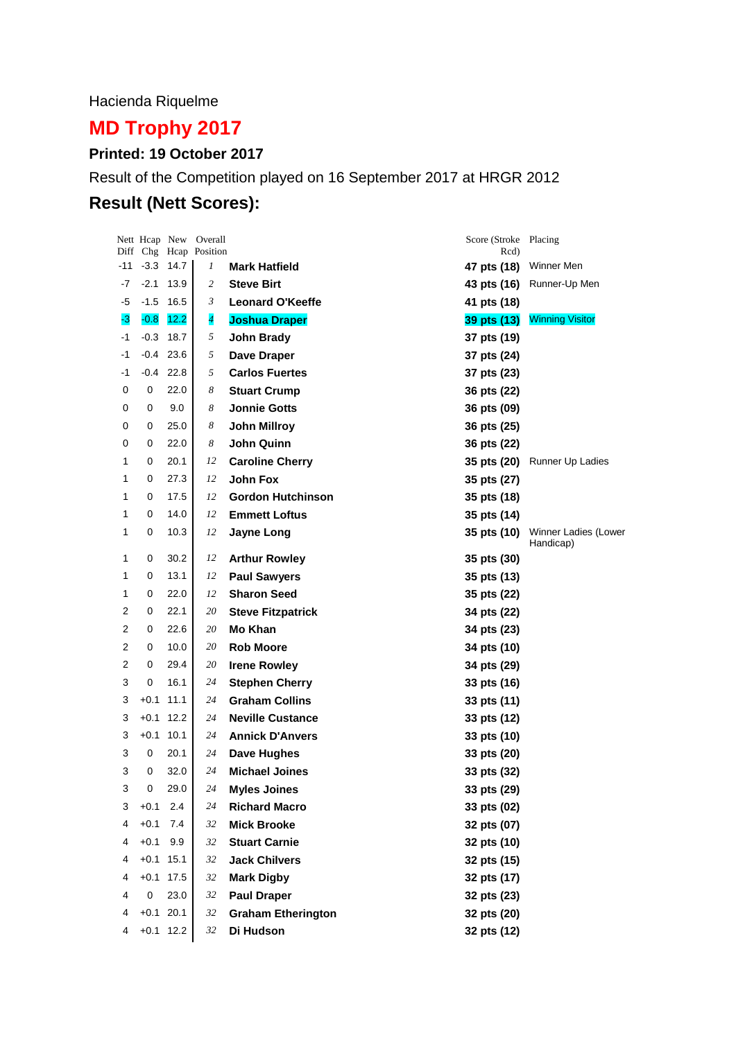Hacienda Riquelme

# **MD Trophy 2017**

### **Printed: 19 October 2017**

Result of the Competition played on 16 September 2017 at HRGR 2012

## **Result (Nett Scores):**

|     |             |             | Nett Hcap New Overall<br>Diff Chg Hcap Position |                           | Score (Stroke Placing<br>Rcd) |                                   |
|-----|-------------|-------------|-------------------------------------------------|---------------------------|-------------------------------|-----------------------------------|
| -11 | $-3.3$ 14.7 |             | 1                                               | <b>Mark Hatfield</b>      | 47 pts (18)                   | Winner Men                        |
| -7  | $-2.1$      | 13.9        | 2                                               | <b>Steve Birt</b>         | 43 pts (16)                   | Runner-Up Men                     |
| -5  | $-1.5$      | 16.5        | 3                                               | <b>Leonard O'Keeffe</b>   | 41 pts (18)                   |                                   |
| -3  | $-0.8$      | 12.2        | $\overline{\mathcal{A}}$                        | <b>Joshua Draper</b>      | 39 pts (13)                   | <b>Winning Visitor</b>            |
| -1  | $-0.3$      | 18.7        | 5                                               | <b>John Brady</b>         | 37 pts (19)                   |                                   |
| -1  |             | $-0.4$ 23.6 | 5                                               | Dave Draper               | 37 pts (24)                   |                                   |
| -1  | -0.4        | 22.8        | 5                                               | <b>Carlos Fuertes</b>     | 37 pts (23)                   |                                   |
| 0   | 0           | 22.0        | 8                                               | <b>Stuart Crump</b>       | 36 pts (22)                   |                                   |
| 0   | 0           | 9.0         | 8                                               | <b>Jonnie Gotts</b>       | 36 pts (09)                   |                                   |
| 0   | 0           | 25.0        | 8                                               | <b>John Millroy</b>       | 36 pts (25)                   |                                   |
| 0   | 0           | 22.0        | 8                                               | <b>John Quinn</b>         | 36 pts (22)                   |                                   |
| 1   | 0           | 20.1        | 12                                              | <b>Caroline Cherry</b>    | 35 pts (20)                   | Runner Up Ladies                  |
| 1   | 0           | 27.3        | 12                                              | <b>John Fox</b>           | 35 pts (27)                   |                                   |
| 1   | 0           | 17.5        | 12                                              | <b>Gordon Hutchinson</b>  | 35 pts (18)                   |                                   |
| 1   | 0           | 14.0        | 12                                              | <b>Emmett Loftus</b>      | 35 pts (14)                   |                                   |
| 1   | 0           | 10.3        | 12                                              | Jayne Long                | 35 pts (10)                   | Winner Ladies (Lower<br>Handicap) |
| 1   | 0           | 30.2        | 12                                              | <b>Arthur Rowley</b>      | 35 pts (30)                   |                                   |
| 1   | 0           | 13.1        | 12                                              | <b>Paul Sawyers</b>       | 35 pts (13)                   |                                   |
| 1   | 0           | 22.0        | 12                                              | <b>Sharon Seed</b>        | 35 pts (22)                   |                                   |
| 2   | 0           | 22.1        | 20                                              | <b>Steve Fitzpatrick</b>  | 34 pts (22)                   |                                   |
| 2   | 0           | 22.6        | 20                                              | Mo Khan                   | 34 pts (23)                   |                                   |
| 2   | 0           | 10.0        | 20                                              | <b>Rob Moore</b>          | 34 pts (10)                   |                                   |
| 2   | 0           | 29.4        | 20                                              | <b>Irene Rowley</b>       | 34 pts (29)                   |                                   |
| 3   | 0           | 16.1        | 24                                              | <b>Stephen Cherry</b>     | 33 pts (16)                   |                                   |
| 3   | $+0.1$ 11.1 |             | 24                                              | <b>Graham Collins</b>     | 33 pts (11)                   |                                   |
| 3   | $+0.1$ 12.2 |             | 24                                              | <b>Neville Custance</b>   | 33 pts (12)                   |                                   |
| 3   | $+0.1$ 10.1 |             | 24                                              | <b>Annick D'Anvers</b>    | 33 pts (10)                   |                                   |
| 3   | 0           | 20.1        | 24                                              | Dave Hughes               | 33 pts (20)                   |                                   |
| 3   | 0           | 32.0        | 24                                              | <b>Michael Joines</b>     | 33 pts (32)                   |                                   |
| 3   | 0           | 29.0        | 24                                              | <b>Myles Joines</b>       | 33 pts (29)                   |                                   |
| 3   | $+0.1$      | 2.4         | 24                                              | <b>Richard Macro</b>      | 33 pts (02)                   |                                   |
| 4   | $+0.1$      | 7.4         | 32                                              | <b>Mick Brooke</b>        | 32 pts (07)                   |                                   |
| 4   | $+0.1$      | 9.9         | 32                                              | <b>Stuart Carnie</b>      | 32 pts (10)                   |                                   |
| 4   | $+0.1$ 15.1 |             | 32                                              | <b>Jack Chilvers</b>      | 32 pts (15)                   |                                   |
| 4   | $+0.1$ 17.5 |             | 32                                              | <b>Mark Digby</b>         | 32 pts (17)                   |                                   |
| 4   | $\pmb{0}$   | 23.0        | 32                                              | <b>Paul Draper</b>        | 32 pts (23)                   |                                   |
| 4   | $+0.1$ 20.1 |             | 32                                              | <b>Graham Etherington</b> | 32 pts (20)                   |                                   |
| 4   | $+0.1$ 12.2 |             | 32                                              | Di Hudson                 | 32 pts (12)                   |                                   |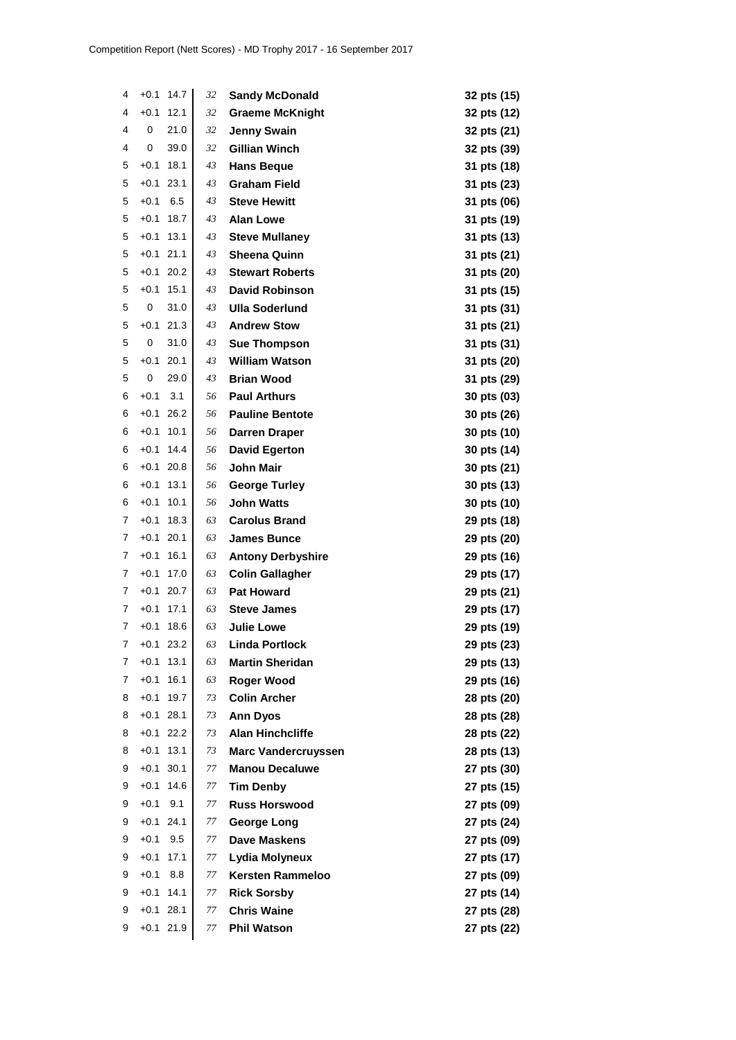| 4      | $+0.1$           | 14.7         | 32       | <b>Sandy McDonald</b>                      | 32 pts (15)                |
|--------|------------------|--------------|----------|--------------------------------------------|----------------------------|
| 4      | $+0.1$           | 12.1         | 32       | <b>Graeme McKnight</b>                     | 32 pts (12)                |
| 4      | 0                | 21.0         | 32       | <b>Jenny Swain</b>                         | 32 pts (21)                |
| 4      | 0                | 39.0         | 32       | <b>Gillian Winch</b>                       | 32 pts (39)                |
| 5      | $+0.1$           | 18.1         | 43       | <b>Hans Beque</b>                          | 31 pts (18)                |
| 5      | $+0.1$           | 23.1         | 43       | <b>Graham Field</b>                        | 31 pts (23)                |
| 5      | $+0.1$           | 6.5          | 43       | <b>Steve Hewitt</b>                        | 31 pts (06)                |
| 5      | $+0.1$           | 18.7         | 43       | <b>Alan Lowe</b>                           | 31 pts (19)                |
| 5      | $+0.1$           | 13.1         | 43       | <b>Steve Mullaney</b>                      | 31 pts (13)                |
| 5      | $+0.1$           | 21.1         | 43       | <b>Sheena Quinn</b>                        | 31 pts (21)                |
| 5      | $+0.1$           | 20.2         | 43       | <b>Stewart Roberts</b>                     | 31 pts (20)                |
| 5      | $+0.1$           | 15.1         | 43       | <b>David Robinson</b>                      | 31 pts (15)                |
| 5      | 0                | 31.0         | 43       | <b>Ulla Soderlund</b>                      | 31 pts (31)                |
| 5      | $+0.1$           | 21.3         | 43       | <b>Andrew Stow</b>                         | 31 pts (21)                |
| 5      | 0                | 31.0         | 43       | <b>Sue Thompson</b>                        | 31 pts (31)                |
| 5      | $+0.1$           | 20.1         | 43       | <b>William Watson</b>                      | 31 pts (20)                |
| 5      | 0                | 29.0         | 43       | <b>Brian Wood</b>                          | 31 pts (29)                |
| 6      | $+0.1$           | 3.1          | 56       | <b>Paul Arthurs</b>                        | 30 pts (03)                |
| 6      | $+0.1$           | 26.2         | 56       | <b>Pauline Bentote</b>                     | 30 pts (26)                |
| 6      | $+0.1$           | 10.1         | 56       | <b>Darren Draper</b>                       | 30 pts (10)                |
| 6      | $+0.1$           | 14.4         | 56       | <b>David Egerton</b>                       | 30 pts (14)                |
| 6      | $+0.1$           | 20.8         | 56       | <b>John Mair</b>                           | 30 pts (21)                |
| 6      | $+0.1$           | 13.1         | 56       | <b>George Turley</b>                       | 30 pts (13)                |
| 6      | $+0.1$           | 10.1         | 56       | <b>John Watts</b>                          | 30 pts (10)                |
| 7      | $+0.1$           | 18.3         | 63       | <b>Carolus Brand</b>                       | 29 pts (18)                |
| 7      | $+0.1$           | 20.1         | 63       | <b>James Bunce</b>                         | 29 pts (20)                |
| 7      | $+0.1$           | 16.1         | 63       | <b>Antony Derbyshire</b>                   | 29 pts (16)                |
| 7      | $+0.1$           | 17.0         | 63       | <b>Colin Gallagher</b>                     | 29 pts (17)                |
| 7      | $+0.1$           | 20.7         | 63       | <b>Pat Howard</b>                          | 29 pts (21)                |
| 7      | $+0.1$           | 17.1         | 63       | <b>Steve James</b>                         | 29 pts (17)                |
| 7<br>7 | $+0.1$<br>$+0.1$ | 18.6<br>23.2 | 63       | <b>Julie Lowe</b><br><b>Linda Portlock</b> | 29 pts (19)                |
| 7      | $+0.1$           | 13.1         | 63<br>63 | <b>Martin Sheridan</b>                     | 29 pts (23)                |
| 7      | $+0.1$           | 16.1         | 63       | <b>Roger Wood</b>                          | 29 pts (13)                |
| 8      | $+0.1$           | 19.7         | 73       | <b>Colin Archer</b>                        | 29 pts (16)<br>28 pts (20) |
| 8      | $+0.1$           | 28.1         | 73       | <b>Ann Dyos</b>                            | 28 pts (28)                |
| 8      | $+0.1$           | 22.2         | 73       | <b>Alan Hinchcliffe</b>                    | 28 pts (22)                |
| 8      | $+0.1$           | 13.1         | 73       | <b>Marc Vandercruyssen</b>                 | 28 pts (13)                |
| 9      | $+0.1$           | 30.1         | 77       | <b>Manou Decaluwe</b>                      | 27 pts (30)                |
| 9      | $+0.1$           | 14.6         | 77       | <b>Tim Denby</b>                           | 27 pts (15)                |
| 9      | $+0.1$           | 9.1          | 77       | <b>Russ Horswood</b>                       | 27 pts (09)                |
| 9      | $+0.1$           | 24.1         | 77       | <b>George Long</b>                         | 27 pts (24)                |
| 9      | $+0.1$           | 9.5          | 77       | <b>Dave Maskens</b>                        | 27 pts (09)                |
| 9      | $+0.1$           | 17.1         | 77       | Lydia Molyneux                             | 27 pts (17)                |
| 9      | $+0.1$           | 8.8          | 77       | <b>Kersten Rammeloo</b>                    | 27 pts (09)                |
| 9      | $+0.1$           | 14.1         | 77       | <b>Rick Sorsby</b>                         | 27 pts (14)                |
| 9      | $+0.1$           | 28.1         | 77       | <b>Chris Waine</b>                         | 27 pts (28)                |
| 9      |                  | $+0.1$ 21.9  | 77       | <b>Phil Watson</b>                         | 27 pts (22)                |
|        |                  |              |          |                                            |                            |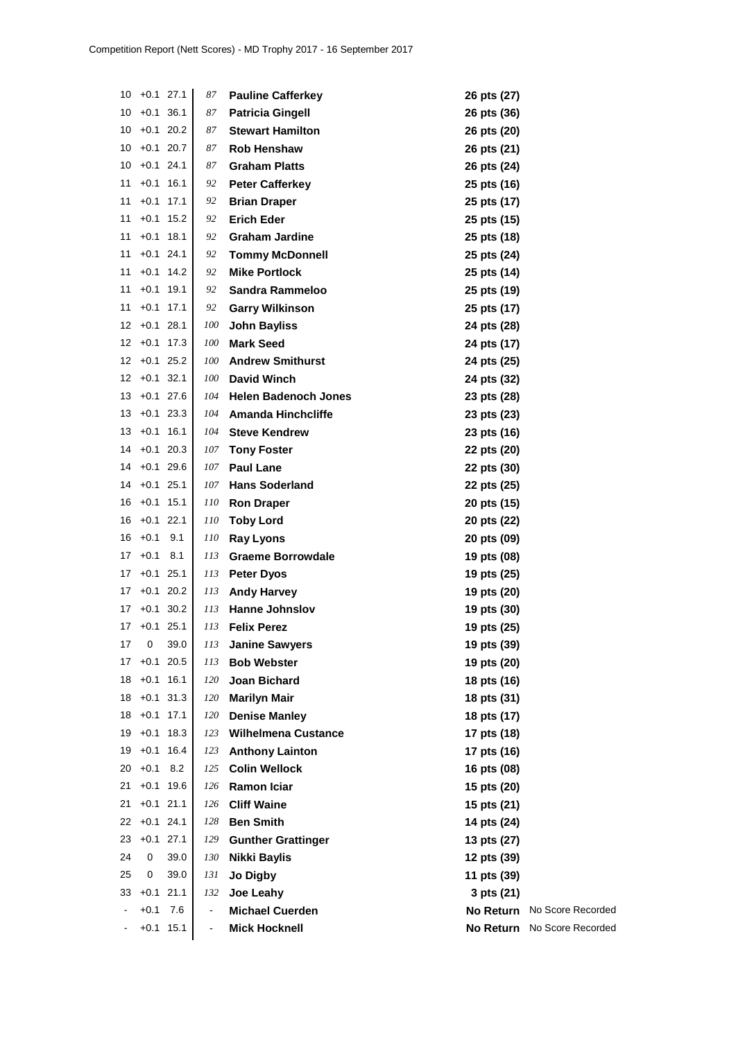| 10       |        | $+0.1$ 27.1 | 87                       | <b>Pauline Cafferkey</b>                    | 26 pts (27)                |                   |
|----------|--------|-------------|--------------------------|---------------------------------------------|----------------------------|-------------------|
| 10       |        | $+0.1$ 36.1 | 87                       | <b>Patricia Gingell</b>                     | 26 pts (36)                |                   |
| 10       |        | $+0.1$ 20.2 | 87                       | <b>Stewart Hamilton</b>                     | 26 pts (20)                |                   |
| 10       |        | $+0.1$ 20.7 | 87                       | <b>Rob Henshaw</b>                          | 26 pts (21)                |                   |
| 10       |        | $+0.1$ 24.1 | 87                       | <b>Graham Platts</b>                        | 26 pts (24)                |                   |
| 11       |        | $+0.1$ 16.1 | 92                       | <b>Peter Cafferkey</b>                      | 25 pts (16)                |                   |
| 11       | $+0.1$ | 17.1        | 92                       | <b>Brian Draper</b>                         | 25 pts (17)                |                   |
| 11       | $+0.1$ | 15.2        | 92                       | <b>Erich Eder</b>                           | 25 pts (15)                |                   |
| 11       |        | $+0.1$ 18.1 | 92                       | <b>Graham Jardine</b>                       | 25 pts (18)                |                   |
| 11       |        | $+0.1$ 24.1 | 92                       | <b>Tommy McDonnell</b>                      | 25 pts (24)                |                   |
| 11       |        | $+0.1$ 14.2 | 92                       | <b>Mike Portlock</b>                        | 25 pts (14)                |                   |
| 11       |        | $+0.1$ 19.1 | 92                       | Sandra Rammeloo                             | 25 pts (19)                |                   |
| 11       |        | $+0.1$ 17.1 | 92                       | <b>Garry Wilkinson</b>                      | 25 pts (17)                |                   |
| 12       |        | $+0.1$ 28.1 | <i>100</i>               | <b>John Bayliss</b>                         | 24 pts (28)                |                   |
| 12       |        | $+0.1$ 17.3 | 100                      | <b>Mark Seed</b>                            | 24 pts (17)                |                   |
| 12       |        | $+0.1$ 25.2 | 100                      | <b>Andrew Smithurst</b>                     | 24 pts (25)                |                   |
| 12       |        | $+0.1$ 32.1 | 100                      | <b>David Winch</b>                          | 24 pts (32)                |                   |
| 13       |        | $+0.1$ 27.6 | 104                      | <b>Helen Badenoch Jones</b>                 | 23 pts (28)                |                   |
| 13       |        | $+0.1$ 23.3 | 104                      | <b>Amanda Hinchcliffe</b>                   | 23 pts (23)                |                   |
| 13       |        | $+0.1$ 16.1 | 104                      | <b>Steve Kendrew</b>                        | 23 pts (16)                |                   |
| 14       |        | $+0.1$ 20.3 | 107                      | <b>Tony Foster</b>                          | 22 pts (20)                |                   |
| 14       |        | $+0.1$ 29.6 | 107                      | <b>Paul Lane</b>                            | 22 pts (30)                |                   |
| 14       |        | $+0.1$ 25.1 | 107                      | <b>Hans Soderland</b>                       | 22 pts (25)                |                   |
| 16       |        | $+0.1$ 15.1 | 110                      | <b>Ron Draper</b>                           | 20 pts (15)                |                   |
| 16       |        | $+0.1$ 22.1 | 110                      | <b>Toby Lord</b>                            | 20 pts (22)                |                   |
| 16       | $+0.1$ | 9.1         | 110                      | <b>Ray Lyons</b>                            | 20 pts (09)                |                   |
| 17       | $+0.1$ | 8.1         | 113                      | <b>Graeme Borrowdale</b>                    | 19 pts (08)                |                   |
| 17       |        | $+0.1$ 25.1 | 113                      | <b>Peter Dyos</b>                           | 19 pts (25)                |                   |
| 17       |        | $+0.1$ 20.2 | 113                      | <b>Andy Harvey</b>                          | 19 pts (20)                |                   |
| 17       |        | $+0.1$ 30.2 | 113                      | <b>Hanne Johnslov</b>                       |                            |                   |
| 17       |        | $+0.1$ 25.1 | 113                      | <b>Felix Perez</b>                          | 19 pts (30)                |                   |
| 17       | 0      | 39.0        | 113                      | <b>Janine Sawyers</b>                       | 19 pts (25)<br>19 pts (39) |                   |
| 17       |        | $+0.1$ 20.5 | 113                      | <b>Bob Webster</b>                          |                            |                   |
| 18       |        | $+0.1$ 16.1 | 120                      | Joan Bichard                                | 19 pts (20)                |                   |
| 18       |        | $+0.1$ 31.3 | 120                      |                                             | 18 pts (16)                |                   |
| 18       |        | $+0.1$ 17.1 | 120                      | <b>Marilyn Mair</b><br><b>Denise Manley</b> | 18 pts (31)<br>18 pts (17) |                   |
| 19       |        | $+0.1$ 18.3 |                          | <b>Wilhelmena Custance</b>                  |                            |                   |
| 19       |        | $+0.1$ 16.4 | 123<br>123               |                                             | 17 pts (18)                |                   |
|          | $+0.1$ | 8.2         |                          | <b>Anthony Lainton</b>                      | 17 pts (16)                |                   |
| 20<br>21 | $+0.1$ | 19.6        | 125                      | <b>Colin Wellock</b>                        | 16 pts (08)                |                   |
|          |        |             | 126                      | <b>Ramon Iciar</b>                          | 15 pts (20)                |                   |
| 21       |        | $+0.1$ 21.1 | 126                      | <b>Cliff Waine</b>                          | 15 pts (21)                |                   |
| 22       |        | $+0.1$ 24.1 | 128                      | <b>Ben Smith</b>                            | 14 pts (24)                |                   |
| 23       |        | $+0.1$ 27.1 | 129                      | <b>Gunther Grattinger</b>                   | 13 pts (27)                |                   |
| 24       | 0      | 39.0        | 130                      | Nikki Baylis                                | 12 pts (39)                |                   |
| 25       | 0      | 39.0        | 131                      | Jo Digby                                    | 11 pts (39)                |                   |
| 33       |        | $+0.1$ 21.1 | 132                      | Joe Leahy                                   | 3 pts (21)                 |                   |
|          | $+0.1$ | 7.6         | $\overline{\phantom{a}}$ | <b>Michael Cuerden</b>                      | <b>No Return</b>           | No Score Recorded |
|          |        | $+0.1$ 15.1 | $\overline{\phantom{a}}$ | <b>Mick Hocknell</b>                        | <b>No Return</b>           | No Score Recorded |